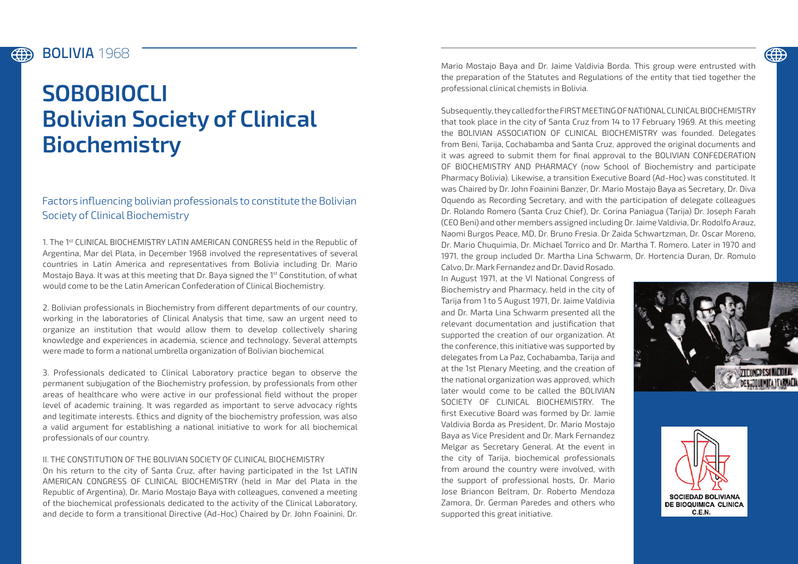#### BOLIVIA **1968** (#)

# **SOBOBIOCLI Bolivian Society of Clinical Biochemistry**

## Factors influencing bolivian professionals to constitute the Bolivian Society of Clinical Biochemistry

1. The 1st CLINICAL BIOCHEMISTRY LATIN AMERICAN CONGRESS held in the Republic of Argentina, Mar del Plata, in December 1968 involved the representatives of several countries in Latin America and representatives from Bolivia including Dr. Mario Mostajo Baya. It was at this meeting that Dr. Baya signed the 1st Constitution, of what would come to be the Latin American Confederation of Clinical Biochemistry.

2. Bolivian professionals in Biochemistry from different departments of our country, working in the laboratories of Clinical Analysis that time, saw an urgent need to organize an institution that would allow them to develop collectively sharing knowledge and experiences in academia, science and technology. Several attempts were made to form a national umbrella organization of Bolivian biochemical

3. Professionals dedicated to Clinical Laboratory practice began to observe the permanent subjugation of the Biochemistry profession, by professionals from other areas of healthcare who were active in our professional field without the proper level of academic training. It was regarded as important to serve advocacy rights and legitimate interests. Ethics and dignity of the biochemistry profession, was also a valid argument for establishing a national initiative to work for all biochemical professionals of our country.

### II. THE CONSTITUTION OF THE BOLIVIAN SOCIETY OF CLINICAL BIOCHEMISTRY

On his return to the city of Santa Cruz, after having participated in the 1st LATIN AMERICAN CONGRESS OF CLINICAL BIOCHEMISTRY (held in Mar del Plata in the Republic of Argentina), Dr. Mario Mostajo Baya with colleagues, convened a meeting of the biochemical professionals dedicated to the activity of the Clinical Laboratory, and decide to form a transitional Directive (Ad-Hoc) Chaired by Dr. John Foainini, Dr. Mario Mostajo Baya and Dr. Jaime Valdivia Borda. This group were entrusted with the preparation of the Statutes and Regulations of the entity that tied together the professional clinical chemists in Bolivia.

Subsequently, they called for the FIRST MEETING OF NATIONAL CLINICAL BIOCHEMISTRY that took place in the city of Santa Cruz from 14 to 17 February 1969. At this meeting the BOLIVIAN ASSOCIATION OF CLINICAL BIOCHEMISTRY was founded. Delegates from Beni, Tarija, Cochabamba and Santa Cruz, approved the original documents and it was agreed to submit them for final approval to the BOLIVIAN CONFEDERATION OF BIOCHEMISTRY AND PHARMACY (now School of Biochemistry and participate Pharmacy Bolivia). Likewise, a transition Executive Board (Ad-Hoc) was constituted. It was Chaired by Dr. John Foainini Banzer, Dr. Mario Mostajo Baya as Secretary, Dr. Diva Oquendo as Recording Secretary, and with the participation of delegate colleagues Dr. Rolando Romero (Santa Cruz Chief), Dr. Corina Paniagua (Tarija) Dr. Joseph Farah (CEO Beni) and other members assigned including Dr. Jaime Valdivia, Dr. Rodolfo Arauz, Naomi Burgos Peace, MD, Dr. Bruno Fresia. Dr Zaida Schwartzman, Dr. Oscar Moreno, Dr. Mario Chuquimia, Dr. Michael Torrico and Dr. Martha T. Romero. Later in 1970 and 1971, the group included Dr. Martha Lina Schwarm, Dr. Hortencia Duran, Dr. Romulo Calvo, Dr. Mark Fernandez and Dr. David Rosado.

In August 1971, at the VI National Congress of Biochemistry and Pharmacy, held in the city of Tarija from 1 to 5 August 1971, Dr. Jaime Valdivia and Dr. Marta Lina Schwarm presented all the relevant documentation and justification that supported the creation of our organization. At the conference, this initiative was supported by delegates from La Paz, Cochabamba, Tarija and at the 1st Plenary Meeting, and the creation of the national organization was approved, which later would come to be called the BOLIVIAN SOCIETY OF CLINICAL BIOCHEMISTRY. The first Executive Board was formed by Dr. Jamie Valdivia Borda as President, Dr. Mario Mostajo Baya as Vice President and Dr. Mark Fernandez Melgar as Secretary General. At the event in the city of Tarija, biochemical professionals from around the country were involved, with the support of professional hosts, Dr. Mario Jose Briancon Beltram, Dr. Roberto Mendoza Zamora, Dr. German Paredes and others who supported this great initiative.



**(#)**